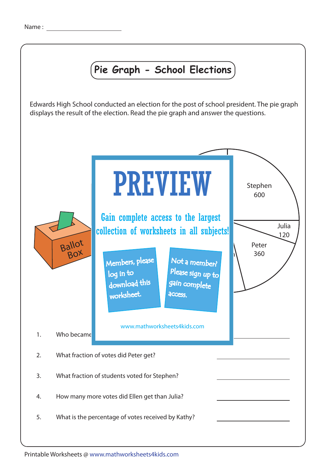